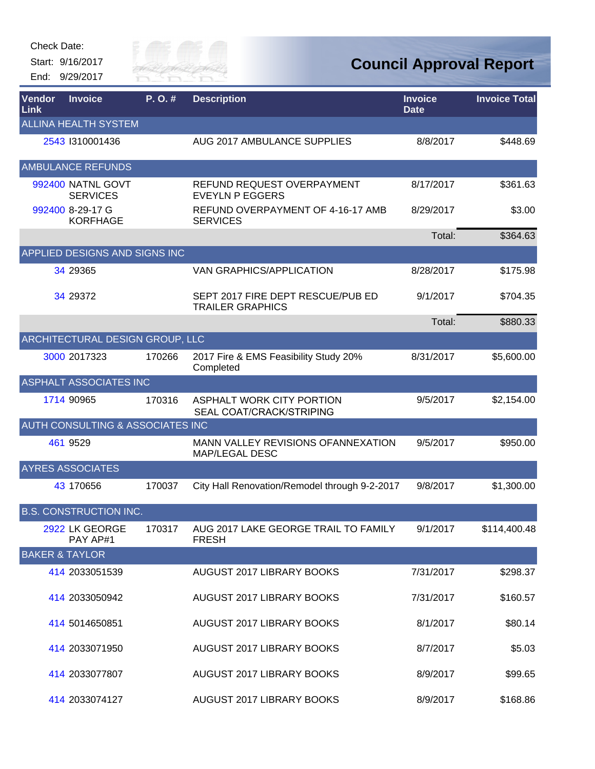Start: 9/16/2017 End: 9/29/2017



| Vendor<br>Link | <b>Invoice</b>                              | P.O.#  | <b>Description</b>                                           | <b>Invoice</b><br><b>Date</b> | <b>Invoice Total</b> |
|----------------|---------------------------------------------|--------|--------------------------------------------------------------|-------------------------------|----------------------|
|                | <b>ALLINA HEALTH SYSTEM</b>                 |        |                                                              |                               |                      |
|                | 2543 1310001436                             |        | AUG 2017 AMBULANCE SUPPLIES                                  | 8/8/2017                      | \$448.69             |
|                | <b>AMBULANCE REFUNDS</b>                    |        |                                                              |                               |                      |
|                | 992400 NATNL GOVT<br><b>SERVICES</b>        |        | REFUND REQUEST OVERPAYMENT<br><b>EVEYLN P EGGERS</b>         | 8/17/2017                     | \$361.63             |
|                | 992400 8-29-17 G<br><b>KORFHAGE</b>         |        | REFUND OVERPAYMENT OF 4-16-17 AMB<br><b>SERVICES</b>         | 8/29/2017                     | \$3.00               |
|                |                                             |        |                                                              | Total:                        | \$364.63             |
|                | APPLIED DESIGNS AND SIGNS INC               |        |                                                              |                               |                      |
|                | 34 29365                                    |        | VAN GRAPHICS/APPLICATION                                     | 8/28/2017                     | \$175.98             |
|                | 34 29372                                    |        | SEPT 2017 FIRE DEPT RESCUE/PUB ED<br><b>TRAILER GRAPHICS</b> | 9/1/2017                      | \$704.35             |
|                |                                             |        |                                                              | Total:                        | \$880.33             |
|                | ARCHITECTURAL DESIGN GROUP, LLC             |        |                                                              |                               |                      |
|                | 3000 2017323                                | 170266 | 2017 Fire & EMS Feasibility Study 20%<br>Completed           | 8/31/2017                     | \$5,600.00           |
|                | <b>ASPHALT ASSOCIATES INC</b>               |        |                                                              |                               |                      |
|                | 1714 90965                                  | 170316 | ASPHALT WORK CITY PORTION<br>SEAL COAT/CRACK/STRIPING        | 9/5/2017                      | \$2,154.00           |
|                | <b>AUTH CONSULTING &amp; ASSOCIATES INC</b> |        |                                                              |                               |                      |
|                | 461 9529                                    |        | MANN VALLEY REVISIONS OFANNEXATION<br><b>MAP/LEGAL DESC</b>  | 9/5/2017                      | \$950.00             |
|                | <b>AYRES ASSOCIATES</b>                     |        |                                                              |                               |                      |
|                | 43 170656                                   | 170037 | City Hall Renovation/Remodel through 9-2-2017                | 9/8/2017                      | \$1,300.00           |
|                | <b>B.S. CONSTRUCTION INC.</b>               |        |                                                              |                               |                      |
|                | <u>2922</u> LK GEORGE<br>PAY AP#1           | 170317 | AUG 2017 LAKE GEORGE TRAIL TO FAMILY<br><b>FRESH</b>         | 9/1/2017                      | \$114,400.48         |
|                | <b>BAKER &amp; TAYLOR</b>                   |        |                                                              |                               |                      |
|                | 414 2033051539                              |        | AUGUST 2017 LIBRARY BOOKS                                    | 7/31/2017                     | \$298.37             |
|                | 414 2033050942                              |        | AUGUST 2017 LIBRARY BOOKS                                    | 7/31/2017                     | \$160.57             |
|                | 414 5014650851                              |        | AUGUST 2017 LIBRARY BOOKS                                    | 8/1/2017                      | \$80.14              |
|                | 414 2033071950                              |        | AUGUST 2017 LIBRARY BOOKS                                    | 8/7/2017                      | \$5.03               |
|                | 414 2033077807                              |        | AUGUST 2017 LIBRARY BOOKS                                    | 8/9/2017                      | \$99.65              |
|                | 414 2033074127                              |        | AUGUST 2017 LIBRARY BOOKS                                    | 8/9/2017                      | \$168.86             |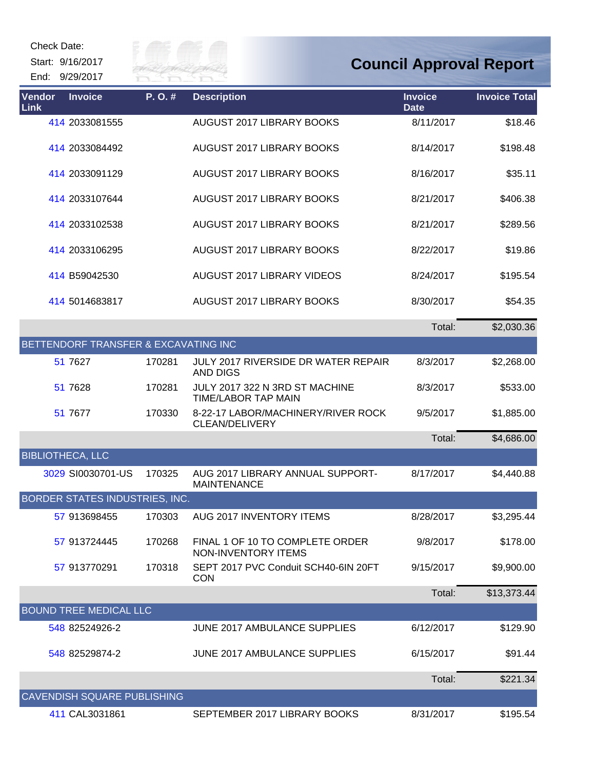Start: 9/16/2017 End: 9/29/2017



| Vendor<br><b>Invoice</b><br>Link     | P.O.#  | <b>Description</b>                                          | <b>Invoice</b><br><b>Date</b> | <b>Invoice Total</b> |
|--------------------------------------|--------|-------------------------------------------------------------|-------------------------------|----------------------|
| 414 2033081555                       |        | <b>AUGUST 2017 LIBRARY BOOKS</b>                            | 8/11/2017                     | \$18.46              |
| 414 2033084492                       |        | <b>AUGUST 2017 LIBRARY BOOKS</b>                            | 8/14/2017                     | \$198.48             |
| 414 2033091129                       |        | AUGUST 2017 LIBRARY BOOKS                                   | 8/16/2017                     | \$35.11              |
| 414 2033107644                       |        | AUGUST 2017 LIBRARY BOOKS                                   | 8/21/2017                     | \$406.38             |
| 414 2033102538                       |        | <b>AUGUST 2017 LIBRARY BOOKS</b>                            | 8/21/2017                     | \$289.56             |
| 414 2033106295                       |        | AUGUST 2017 LIBRARY BOOKS                                   | 8/22/2017                     | \$19.86              |
| 414 B59042530                        |        | <b>AUGUST 2017 LIBRARY VIDEOS</b>                           | 8/24/2017                     | \$195.54             |
| 414 5014683817                       |        | AUGUST 2017 LIBRARY BOOKS                                   | 8/30/2017                     | \$54.35              |
|                                      |        |                                                             | Total:                        | \$2,030.36           |
| BETTENDORF TRANSFER & EXCAVATING INC |        |                                                             |                               |                      |
| 51 7627                              | 170281 | JULY 2017 RIVERSIDE DR WATER REPAIR<br><b>AND DIGS</b>      | 8/3/2017                      | \$2,268.00           |
| 51 7628                              | 170281 | JULY 2017 322 N 3RD ST MACHINE<br>TIME/LABOR TAP MAIN       | 8/3/2017                      | \$533.00             |
| 51 7677                              | 170330 | 8-22-17 LABOR/MACHINERY/RIVER ROCK<br><b>CLEAN/DELIVERY</b> | 9/5/2017                      | \$1,885.00           |
|                                      |        |                                                             | Total:                        | \$4,686.00           |
| <b>BIBLIOTHECA, LLC</b>              |        |                                                             |                               |                      |
| 3029 SI0030701-US                    | 170325 | AUG 2017 LIBRARY ANNUAL SUPPORT-<br><b>MAINTENANCE</b>      | 8/17/2017                     | \$4,440.88           |
| BORDER STATES INDUSTRIES, INC.       |        |                                                             |                               |                      |
| 57 913698455                         | 170303 | AUG 2017 INVENTORY ITEMS                                    | 8/28/2017                     | \$3,295.44           |
| 57 913724445                         | 170268 | FINAL 1 OF 10 TO COMPLETE ORDER<br>NON-INVENTORY ITEMS      | 9/8/2017                      | \$178.00             |
| 57 913770291                         | 170318 | SEPT 2017 PVC Conduit SCH40-6IN 20FT<br><b>CON</b>          | 9/15/2017                     | \$9,900.00           |
|                                      |        |                                                             | Total:                        | \$13,373.44          |
| <b>BOUND TREE MEDICAL LLC</b>        |        |                                                             |                               |                      |
| 548 82524926-2                       |        | <b>JUNE 2017 AMBULANCE SUPPLIES</b>                         | 6/12/2017                     | \$129.90             |
| 548 82529874-2                       |        | JUNE 2017 AMBULANCE SUPPLIES                                | 6/15/2017                     | \$91.44              |
|                                      |        |                                                             | Total:                        | \$221.34             |
| <b>CAVENDISH SQUARE PUBLISHING</b>   |        |                                                             |                               |                      |
| 411 CAL3031861                       |        | SEPTEMBER 2017 LIBRARY BOOKS                                | 8/31/2017                     | \$195.54             |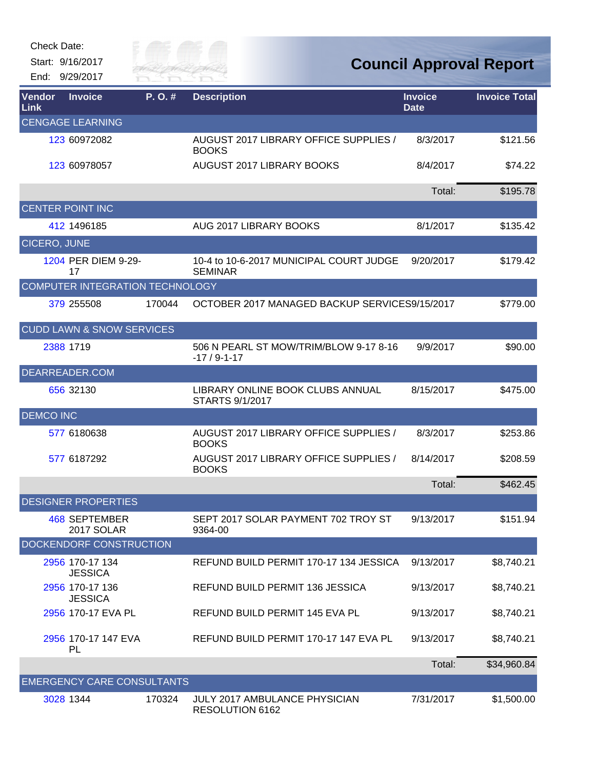Start: 9/16/2017 End: 9/29/2017



| Vendor<br>Link      | <b>Invoice</b>                       | $P. O.$ # | <b>Description</b>                                        | <b>Invoice</b><br><b>Date</b> | <b>Invoice Total</b> |
|---------------------|--------------------------------------|-----------|-----------------------------------------------------------|-------------------------------|----------------------|
|                     | <b>CENGAGE LEARNING</b>              |           |                                                           |                               |                      |
|                     | 123 60972082                         |           | AUGUST 2017 LIBRARY OFFICE SUPPLIES /<br><b>BOOKS</b>     | 8/3/2017                      | \$121.56             |
|                     | 123 60978057                         |           | AUGUST 2017 LIBRARY BOOKS                                 | 8/4/2017                      | \$74.22              |
|                     |                                      |           |                                                           | Total:                        | \$195.78             |
|                     | <b>CENTER POINT INC</b>              |           |                                                           |                               |                      |
|                     | 412 1496185                          |           | AUG 2017 LIBRARY BOOKS                                    | 8/1/2017                      | \$135.42             |
| <b>CICERO, JUNE</b> |                                      |           |                                                           |                               |                      |
|                     | 1204 PER DIEM 9-29-<br>17            |           | 10-4 to 10-6-2017 MUNICIPAL COURT JUDGE<br><b>SEMINAR</b> | 9/20/2017                     | \$179.42             |
|                     | COMPUTER INTEGRATION TECHNOLOGY      |           |                                                           |                               |                      |
|                     | 379 255508                           | 170044    | OCTOBER 2017 MANAGED BACKUP SERVICES9/15/2017             |                               | \$779.00             |
|                     | <b>CUDD LAWN &amp; SNOW SERVICES</b> |           |                                                           |                               |                      |
|                     | 2388 1719                            |           | 506 N PEARL ST MOW/TRIM/BLOW 9-17 8-16<br>$-17/9-1-17$    | 9/9/2017                      | \$90.00              |
|                     | DEARREADER.COM                       |           |                                                           |                               |                      |
|                     | 656 32130                            |           | LIBRARY ONLINE BOOK CLUBS ANNUAL<br>STARTS 9/1/2017       | 8/15/2017                     | \$475.00             |
| <b>DEMCO INC</b>    |                                      |           |                                                           |                               |                      |
|                     | 577 6180638                          |           | AUGUST 2017 LIBRARY OFFICE SUPPLIES /<br><b>BOOKS</b>     | 8/3/2017                      | \$253.86             |
|                     | 577 6187292                          |           | AUGUST 2017 LIBRARY OFFICE SUPPLIES /<br><b>BOOKS</b>     | 8/14/2017                     | \$208.59             |
|                     |                                      |           |                                                           | Total:                        | \$462.45             |
|                     | <b>DESIGNER PROPERTIES</b>           |           |                                                           |                               |                      |
|                     | 468 SEPTEMBER<br>2017 SOLAR          |           | SEPT 2017 SOLAR PAYMENT 702 TROY ST<br>9364-00            | 9/13/2017                     | \$151.94             |
|                     | DOCKENDORF CONSTRUCTION              |           |                                                           |                               |                      |
|                     | 2956 170-17 134<br><b>JESSICA</b>    |           | REFUND BUILD PERMIT 170-17 134 JESSICA                    | 9/13/2017                     | \$8,740.21           |
|                     | 2956 170-17 136<br><b>JESSICA</b>    |           | REFUND BUILD PERMIT 136 JESSICA                           | 9/13/2017                     | \$8,740.21           |
|                     | 2956 170-17 EVA PL                   |           | REFUND BUILD PERMIT 145 EVA PL                            | 9/13/2017                     | \$8,740.21           |
|                     | 2956 170-17 147 EVA<br>PL            |           | REFUND BUILD PERMIT 170-17 147 EVA PL                     | 9/13/2017                     | \$8,740.21           |
|                     |                                      |           |                                                           | Total:                        | \$34,960.84          |
|                     | <b>EMERGENCY CARE CONSULTANTS</b>    |           |                                                           |                               |                      |
|                     | 3028 1344                            | 170324    | JULY 2017 AMBULANCE PHYSICIAN<br>RESOLUTION 6162          | 7/31/2017                     | \$1,500.00           |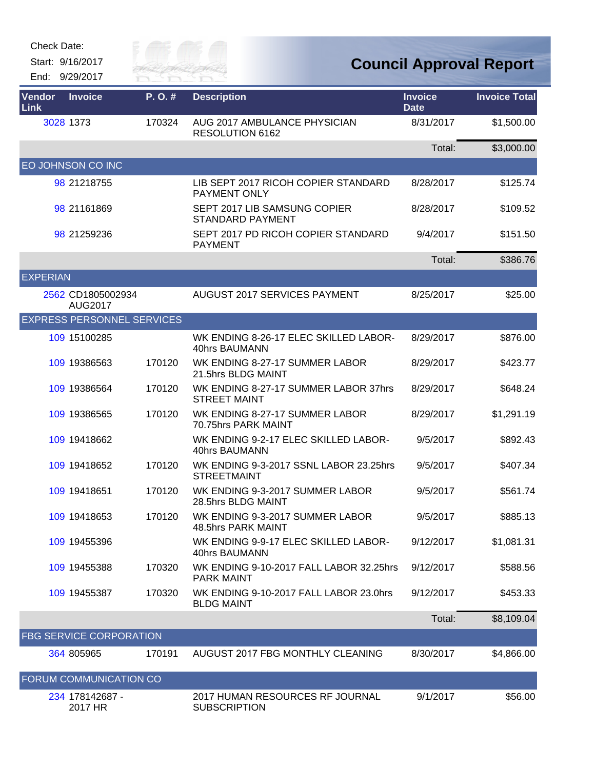| Check Date: |  |
|-------------|--|
|-------------|--|

Start: 9/16/2017

End: 9/29/2017



| Vendor<br>Link  | <b>Invoice</b>                      | P.O.#  | <b>Description</b>                                           | <b>Invoice</b><br><b>Date</b> | <b>Invoice Total</b> |
|-----------------|-------------------------------------|--------|--------------------------------------------------------------|-------------------------------|----------------------|
|                 | 3028 1373                           | 170324 | AUG 2017 AMBULANCE PHYSICIAN<br>RESOLUTION 6162              | 8/31/2017                     | \$1,500.00           |
|                 |                                     |        |                                                              | Total:                        | \$3,000.00           |
|                 | EO JOHNSON CO INC                   |        |                                                              |                               |                      |
|                 | 98 21218755                         |        | LIB SEPT 2017 RICOH COPIER STANDARD<br>PAYMENT ONLY          | 8/28/2017                     | \$125.74             |
|                 | 98 21161869                         |        | SEPT 2017 LIB SAMSUNG COPIER<br><b>STANDARD PAYMENT</b>      | 8/28/2017                     | \$109.52             |
|                 | 98 21259236                         |        | SEPT 2017 PD RICOH COPIER STANDARD<br><b>PAYMENT</b>         | 9/4/2017                      | \$151.50             |
|                 |                                     |        |                                                              | Total:                        | \$386.76             |
| <b>EXPERIAN</b> |                                     |        |                                                              |                               |                      |
|                 | 2562 CD1805002934<br><b>AUG2017</b> |        | <b>AUGUST 2017 SERVICES PAYMENT</b>                          | 8/25/2017                     | \$25.00              |
|                 | <b>EXPRESS PERSONNEL SERVICES</b>   |        |                                                              |                               |                      |
|                 | 109 15100285                        |        | WK ENDING 8-26-17 ELEC SKILLED LABOR-<br>40hrs BAUMANN       | 8/29/2017                     | \$876.00             |
|                 | 109 19386563                        | 170120 | WK ENDING 8-27-17 SUMMER LABOR<br>21.5hrs BLDG MAINT         | 8/29/2017                     | \$423.77             |
|                 | 109 19386564                        | 170120 | WK ENDING 8-27-17 SUMMER LABOR 37hrs<br><b>STREET MAINT</b>  | 8/29/2017                     | \$648.24             |
|                 | 109 19386565                        | 170120 | WK ENDING 8-27-17 SUMMER LABOR<br>70.75hrs PARK MAINT        | 8/29/2017                     | \$1,291.19           |
|                 | 109 19418662                        |        | WK ENDING 9-2-17 ELEC SKILLED LABOR-<br>40hrs BAUMANN        | 9/5/2017                      | \$892.43             |
|                 | 109 19418652                        | 170120 | WK ENDING 9-3-2017 SSNL LABOR 23.25hrs<br><b>STREETMAINT</b> | 9/5/2017                      | \$407.34             |
|                 | 109 19418651                        | 170120 | WK ENDING 9-3-2017 SUMMER LABOR<br>28.5hrs BLDG MAINT        | 9/5/2017                      | \$561.74             |
|                 | 109 19418653                        | 170120 | WK ENDING 9-3-2017 SUMMER LABOR<br>48.5hrs PARK MAINT        | 9/5/2017                      | \$885.13             |
|                 | 109 19455396                        |        | WK ENDING 9-9-17 ELEC SKILLED LABOR-<br>40hrs BAUMANN        | 9/12/2017                     | \$1,081.31           |
|                 | 109 19455388                        | 170320 | WK ENDING 9-10-2017 FALL LABOR 32.25hrs<br><b>PARK MAINT</b> | 9/12/2017                     | \$588.56             |
|                 | 109 19455387                        | 170320 | WK ENDING 9-10-2017 FALL LABOR 23.0hrs<br><b>BLDG MAINT</b>  | 9/12/2017                     | \$453.33             |
|                 |                                     |        |                                                              | Total:                        | \$8,109.04           |
|                 | FBG SERVICE CORPORATION             |        |                                                              |                               |                      |
|                 | 364 805965                          | 170191 | AUGUST 2017 FBG MONTHLY CLEANING                             | 8/30/2017                     | \$4,866.00           |
|                 | <b>FORUM COMMUNICATION CO</b>       |        |                                                              |                               |                      |
|                 | 234 178142687 -<br>2017 HR          |        | 2017 HUMAN RESOURCES RF JOURNAL<br><b>SUBSCRIPTION</b>       | 9/1/2017                      | \$56.00              |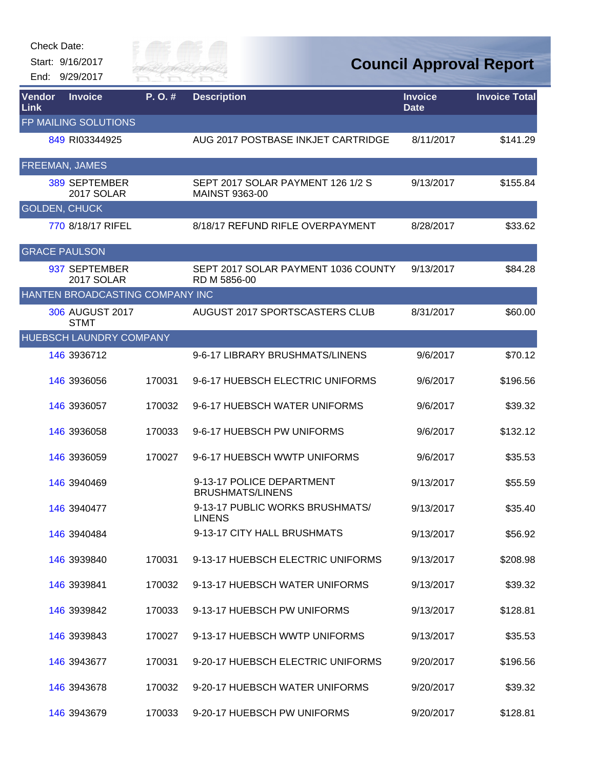Start: 9/16/2017 End: 9/29/2017



| Vendor<br><b>Link</b> | <b>Invoice</b>                     | P.O.#  | <b>Description</b>                                         | <b>Invoice</b><br><b>Date</b> | <b>Invoice Total</b> |
|-----------------------|------------------------------------|--------|------------------------------------------------------------|-------------------------------|----------------------|
|                       | FP MAILING SOLUTIONS               |        |                                                            |                               |                      |
|                       | 849 RI03344925                     |        | AUG 2017 POSTBASE INKJET CARTRIDGE                         | 8/11/2017                     | \$141.29             |
|                       | FREEMAN, JAMES                     |        |                                                            |                               |                      |
|                       | <b>389 SEPTEMBER</b><br>2017 SOLAR |        | SEPT 2017 SOLAR PAYMENT 126 1/2 S<br><b>MAINST 9363-00</b> | 9/13/2017                     | \$155.84             |
|                       | <b>GOLDEN, CHUCK</b>               |        |                                                            |                               |                      |
|                       | 770 8/18/17 RIFEL                  |        | 8/18/17 REFUND RIFLE OVERPAYMENT                           | 8/28/2017                     | \$33.62              |
|                       | <b>GRACE PAULSON</b>               |        |                                                            |                               |                      |
|                       | 937 SEPTEMBER<br>2017 SOLAR        |        | SEPT 2017 SOLAR PAYMENT 1036 COUNTY<br>RD M 5856-00        | 9/13/2017                     | \$84.28              |
|                       | HANTEN BROADCASTING COMPANY INC    |        |                                                            |                               |                      |
|                       | 306 AUGUST 2017<br><b>STMT</b>     |        | AUGUST 2017 SPORTSCASTERS CLUB                             | 8/31/2017                     | \$60.00              |
|                       | HUEBSCH LAUNDRY COMPANY            |        |                                                            |                               |                      |
|                       | 146 3936712                        |        | 9-6-17 LIBRARY BRUSHMATS/LINENS                            | 9/6/2017                      | \$70.12              |
|                       | 146 3936056                        | 170031 | 9-6-17 HUEBSCH ELECTRIC UNIFORMS                           | 9/6/2017                      | \$196.56             |
|                       | 146 3936057                        | 170032 | 9-6-17 HUEBSCH WATER UNIFORMS                              | 9/6/2017                      | \$39.32              |
|                       | 146 3936058                        | 170033 | 9-6-17 HUEBSCH PW UNIFORMS                                 | 9/6/2017                      | \$132.12             |
|                       | 146 3936059                        | 170027 | 9-6-17 HUEBSCH WWTP UNIFORMS                               | 9/6/2017                      | \$35.53              |
|                       | 146 3940469                        |        | 9-13-17 POLICE DEPARTMENT<br><b>BRUSHMATS/LINENS</b>       | 9/13/2017                     | \$55.59              |
|                       | 146 3940477                        |        | 9-13-17 PUBLIC WORKS BRUSHMATS/<br><b>LINENS</b>           | 9/13/2017                     | \$35.40              |
|                       | 146 3940484                        |        | 9-13-17 CITY HALL BRUSHMATS                                | 9/13/2017                     | \$56.92              |
|                       | 146 3939840                        | 170031 | 9-13-17 HUEBSCH ELECTRIC UNIFORMS                          | 9/13/2017                     | \$208.98             |
|                       | 146 3939841                        | 170032 | 9-13-17 HUEBSCH WATER UNIFORMS                             | 9/13/2017                     | \$39.32              |
|                       | 146 3939842                        | 170033 | 9-13-17 HUEBSCH PW UNIFORMS                                | 9/13/2017                     | \$128.81             |
|                       | 146 3939843                        | 170027 | 9-13-17 HUEBSCH WWTP UNIFORMS                              | 9/13/2017                     | \$35.53              |
|                       | 146 3943677                        | 170031 | 9-20-17 HUEBSCH ELECTRIC UNIFORMS                          | 9/20/2017                     | \$196.56             |
|                       | 146 3943678                        | 170032 | 9-20-17 HUEBSCH WATER UNIFORMS                             | 9/20/2017                     | \$39.32              |
|                       | 146 3943679                        | 170033 | 9-20-17 HUEBSCH PW UNIFORMS                                | 9/20/2017                     | \$128.81             |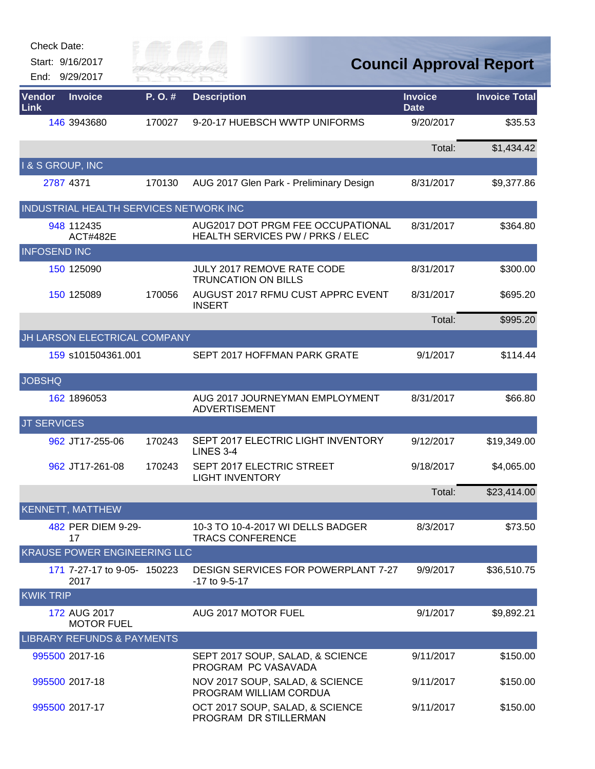| <b>Check Date:</b>          |                                        |                      |                                                                       |                               |                                |
|-----------------------------|----------------------------------------|----------------------|-----------------------------------------------------------------------|-------------------------------|--------------------------------|
|                             | Start: 9/16/2017<br>End: 9/29/2017     | City of<br>KIVER FAI |                                                                       |                               | <b>Council Approval Report</b> |
| Vendor<br>Link              | <b>Invoice</b>                         | P.O.#                | <b>Description</b>                                                    | <b>Invoice</b><br><b>Date</b> | <b>Invoice Total</b>           |
|                             | 146 3943680                            | 170027               | 9-20-17 HUEBSCH WWTP UNIFORMS                                         | 9/20/2017                     | \$35.53                        |
|                             |                                        |                      |                                                                       | Total:                        | \$1,434.42                     |
| <b>I &amp; S GROUP, INC</b> |                                        |                      |                                                                       |                               |                                |
|                             | 2787 4371                              | 170130               | AUG 2017 Glen Park - Preliminary Design                               | 8/31/2017                     | \$9,377.86                     |
|                             | INDUSTRIAL HEALTH SERVICES NETWORK INC |                      |                                                                       |                               |                                |
|                             | 948 112435<br><b>ACT#482E</b>          |                      | AUG2017 DOT PRGM FEE OCCUPATIONAL<br>HEALTH SERVICES PW / PRKS / ELEC | 8/31/2017                     | \$364.80                       |
| <b>INFOSEND INC</b>         |                                        |                      |                                                                       |                               |                                |
|                             | 150 125090                             |                      | JULY 2017 REMOVE RATE CODE<br><b>TRUNCATION ON BILLS</b>              | 8/31/2017                     | \$300.00                       |
|                             | 150 125089                             | 170056               | AUGUST 2017 RFMU CUST APPRC EVENT<br><b>INSERT</b>                    | 8/31/2017                     | \$695.20                       |
|                             |                                        |                      |                                                                       | Total:                        | \$995.20                       |
|                             | JH LARSON ELECTRICAL COMPANY           |                      |                                                                       |                               |                                |
|                             | 159 s101504361.001                     |                      | SEPT 2017 HOFFMAN PARK GRATE                                          | 9/1/2017                      | \$114.44                       |
| <b>JOBSHQ</b>               |                                        |                      |                                                                       |                               |                                |
|                             | 162 1896053                            |                      | AUG 2017 JOURNEYMAN EMPLOYMENT<br><b>ADVERTISEMENT</b>                | 8/31/2017                     | \$66.80                        |
| <b>JT SERVICES</b>          |                                        |                      |                                                                       |                               |                                |
|                             | 962 JT17-255-06                        | 170243               | SEPT 2017 ELECTRIC LIGHT INVENTORY<br>LINES 3-4                       | 9/12/2017                     | \$19,349.00                    |
|                             | 962 JT17-261-08                        | 170243               | SEPT 2017 ELECTRIC STREET<br><b>LIGHT INVENTORY</b>                   | 9/18/2017                     | \$4,065.00                     |
|                             |                                        |                      |                                                                       | Total:                        | \$23,414.00                    |
|                             | <b>KENNETT, MATTHEW</b>                |                      |                                                                       |                               |                                |
|                             | 482 PER DIEM 9-29-<br>17               |                      | 10-3 TO 10-4-2017 WI DELLS BADGER<br><b>TRACS CONFERENCE</b>          | 8/3/2017                      | \$73.50                        |
|                             | KRAUSE POWER ENGINEERING LLC           |                      |                                                                       |                               |                                |
|                             | 171 7-27-17 to 9-05- 150223<br>2017    |                      | <b>DESIGN SERVICES FOR POWERPLANT 7-27</b><br>-17 to 9-5-17           | 9/9/2017                      | \$36,510.75                    |
| <b>KWIK TRIP</b>            |                                        |                      |                                                                       |                               |                                |
|                             | 172 AUG 2017<br><b>MOTOR FUEL</b>      |                      | AUG 2017 MOTOR FUEL                                                   | 9/1/2017                      | \$9,892.21                     |
|                             | <b>LIBRARY REFUNDS &amp; PAYMENTS</b>  |                      |                                                                       |                               |                                |
|                             | 995500 2017-16                         |                      | SEPT 2017 SOUP, SALAD, & SCIENCE<br>PROGRAM PC VASAVADA               | 9/11/2017                     | \$150.00                       |
|                             | 995500 2017-18                         |                      | NOV 2017 SOUP, SALAD, & SCIENCE<br>PROGRAM WILLIAM CORDUA             | 9/11/2017                     | \$150.00                       |
|                             | 995500 2017-17                         |                      | OCT 2017 SOUP, SALAD, & SCIENCE<br>PROGRAM DR STILLERMAN              | 9/11/2017                     | \$150.00                       |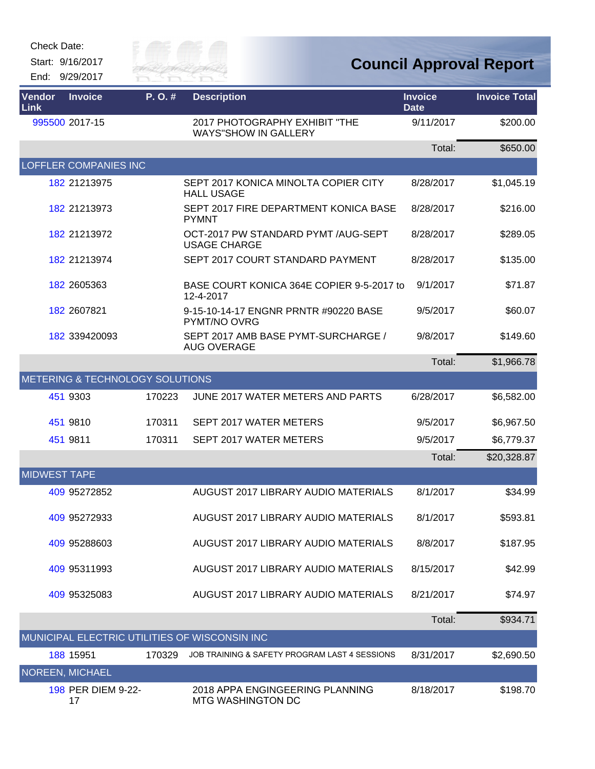Start: 9/16/2017 End: 9/29/2017



| Vendor<br>Link      | <b>Invoice</b>                  | P.O.#  | <b>Description</b>                                           | <b>Invoice</b><br><b>Date</b> | <b>Invoice Total</b> |
|---------------------|---------------------------------|--------|--------------------------------------------------------------|-------------------------------|----------------------|
|                     | 995500 2017-15                  |        | 2017 PHOTOGRAPHY EXHIBIT "THE<br><b>WAYS"SHOW IN GALLERY</b> | 9/11/2017                     | \$200.00             |
|                     |                                 |        |                                                              | Total:                        | \$650.00             |
|                     | <b>LOFFLER COMPANIES INC</b>    |        |                                                              |                               |                      |
|                     | 182 21213975                    |        | SEPT 2017 KONICA MINOLTA COPIER CITY<br><b>HALL USAGE</b>    | 8/28/2017                     | \$1,045.19           |
|                     | 182 21213973                    |        | SEPT 2017 FIRE DEPARTMENT KONICA BASE<br><b>PYMNT</b>        | 8/28/2017                     | \$216.00             |
|                     | 182 21213972                    |        | OCT-2017 PW STANDARD PYMT /AUG-SEPT<br><b>USAGE CHARGE</b>   | 8/28/2017                     | \$289.05             |
|                     | 182 21213974                    |        | SEPT 2017 COURT STANDARD PAYMENT                             | 8/28/2017                     | \$135.00             |
|                     | 182 2605363                     |        | BASE COURT KONICA 364E COPIER 9-5-2017 to<br>12-4-2017       | 9/1/2017                      | \$71.87              |
|                     | 182 2607821                     |        | 9-15-10-14-17 ENGNR PRNTR #90220 BASE<br>PYMT/NO OVRG        | 9/5/2017                      | \$60.07              |
|                     | 182 339420093                   |        | SEPT 2017 AMB BASE PYMT-SURCHARGE /<br><b>AUG OVERAGE</b>    | 9/8/2017                      | \$149.60             |
|                     |                                 |        |                                                              | Total:                        | \$1,966.78           |
|                     | METERING & TECHNOLOGY SOLUTIONS |        |                                                              |                               |                      |
|                     | 451 9303                        | 170223 | JUNE 2017 WATER METERS AND PARTS                             | 6/28/2017                     | \$6,582.00           |
|                     | 451 9810                        | 170311 | SEPT 2017 WATER METERS                                       | 9/5/2017                      | \$6,967.50           |
|                     | 451 9811                        | 170311 | SEPT 2017 WATER METERS                                       | 9/5/2017                      | \$6,779.37           |
|                     |                                 |        |                                                              | Total:                        | \$20,328.87          |
| <b>MIDWEST TAPE</b> |                                 |        |                                                              |                               |                      |
|                     | 409 95272852                    |        | AUGUST 2017 LIBRARY AUDIO MATERIALS                          | 8/1/2017                      | \$34.99              |
|                     | 409 95272933                    |        | AUGUST 2017 LIBRARY AUDIO MATERIALS                          | 8/1/2017                      | \$593.81             |
|                     | 409 95288603                    |        | AUGUST 2017 LIBRARY AUDIO MATERIALS                          | 8/8/2017                      | \$187.95             |
|                     | 409 95311993                    |        | AUGUST 2017 LIBRARY AUDIO MATERIALS                          | 8/15/2017                     | \$42.99              |
|                     | 409 95325083                    |        | AUGUST 2017 LIBRARY AUDIO MATERIALS                          | 8/21/2017                     | \$74.97              |
|                     |                                 |        |                                                              | Total:                        | \$934.71             |
|                     |                                 |        | MUNICIPAL ELECTRIC UTILITIES OF WISCONSIN INC                |                               |                      |
|                     | 188 15951                       | 170329 | JOB TRAINING & SAFETY PROGRAM LAST 4 SESSIONS                | 8/31/2017                     | \$2,690.50           |
|                     | NOREEN, MICHAEL                 |        |                                                              |                               |                      |
|                     | 198 PER DIEM 9-22-<br>17        |        | 2018 APPA ENGINGEERING PLANNING<br>MTG WASHINGTON DC         | 8/18/2017                     | \$198.70             |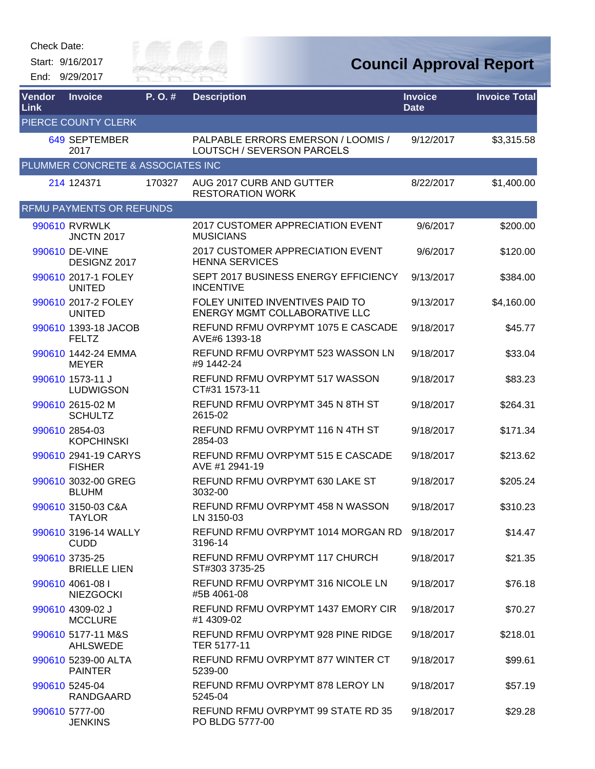Start: 9/16/2017 End: 9/29/2017



| Vendor<br><b>Link</b> | <b>Invoice</b>                        | P. O. # | <b>Description</b>                                                      | <b>Invoice</b><br><b>Date</b> | <b>Invoice Total</b> |
|-----------------------|---------------------------------------|---------|-------------------------------------------------------------------------|-------------------------------|----------------------|
|                       | PIERCE COUNTY CLERK                   |         |                                                                         |                               |                      |
|                       | 649 SEPTEMBER<br>2017                 |         | PALPABLE ERRORS EMERSON / LOOMIS /<br>LOUTSCH / SEVERSON PARCELS        | 9/12/2017                     | \$3,315.58           |
|                       | PLUMMER CONCRETE & ASSOCIATES INC     |         |                                                                         |                               |                      |
|                       | 214 124371                            | 170327  | AUG 2017 CURB AND GUTTER<br><b>RESTORATION WORK</b>                     | 8/22/2017                     | \$1,400.00           |
|                       | <b>RFMU PAYMENTS OR REFUNDS</b>       |         |                                                                         |                               |                      |
|                       | 990610 RVRWLK<br><b>JNCTN 2017</b>    |         | <b>2017 CUSTOMER APPRECIATION EVENT</b><br><b>MUSICIANS</b>             | 9/6/2017                      | \$200.00             |
|                       | 990610 DE-VINE<br>DESIGNZ 2017        |         | 2017 CUSTOMER APPRECIATION EVENT<br><b>HENNA SERVICES</b>               | 9/6/2017                      | \$120.00             |
|                       | 990610 2017-1 FOLEY<br><b>UNITED</b>  |         | SEPT 2017 BUSINESS ENERGY EFFICIENCY<br><b>INCENTIVE</b>                | 9/13/2017                     | \$384.00             |
|                       | 990610 2017-2 FOLEY<br><b>UNITED</b>  |         | FOLEY UNITED INVENTIVES PAID TO<br><b>ENERGY MGMT COLLABORATIVE LLC</b> | 9/13/2017                     | \$4,160.00           |
|                       | 990610 1393-18 JACOB<br><b>FELTZ</b>  |         | REFUND RFMU OVRPYMT 1075 E CASCADE<br>AVE#6 1393-18                     | 9/18/2017                     | \$45.77              |
|                       | 990610 1442-24 EMMA<br><b>MEYER</b>   |         | REFUND RFMU OVRPYMT 523 WASSON LN<br>#9 1442-24                         | 9/18/2017                     | \$33.04              |
|                       | 990610 1573-11 J<br><b>LUDWIGSON</b>  |         | REFUND RFMU OVRPYMT 517 WASSON<br>CT#31 1573-11                         | 9/18/2017                     | \$83.23              |
|                       | 990610 2615-02 M<br><b>SCHULTZ</b>    |         | REFUND RFMU OVRPYMT 345 N 8TH ST<br>2615-02                             | 9/18/2017                     | \$264.31             |
|                       | 990610 2854-03<br><b>KOPCHINSKI</b>   |         | REFUND RFMU OVRPYMT 116 N 4TH ST<br>2854-03                             | 9/18/2017                     | \$171.34             |
|                       | 990610 2941-19 CARYS<br><b>FISHER</b> |         | REFUND RFMU OVRPYMT 515 E CASCADE<br>AVE #1 2941-19                     | 9/18/2017                     | \$213.62             |
|                       | 990610 3032-00 GREG<br><b>BLUHM</b>   |         | REFUND RFMU OVRPYMT 630 LAKE ST<br>3032-00                              | 9/18/2017                     | \$205.24             |
|                       | 990610 3150-03 C&A<br>TAYLOR          |         | REFUND RFMU OVRPYMT 458 N WASSON<br>LN 3150-03                          | 9/18/2017                     | \$310.23             |
|                       | 990610 3196-14 WALLY<br><b>CUDD</b>   |         | REFUND RFMU OVRPYMT 1014 MORGAN RD 9/18/2017<br>3196-14                 |                               | \$14.47              |
|                       | 990610 3735-25<br><b>BRIELLE LIEN</b> |         | REFUND RFMU OVRPYMT 117 CHURCH<br>ST#303 3735-25                        | 9/18/2017                     | \$21.35              |
|                       | 990610 4061-08 I<br><b>NIEZGOCKI</b>  |         | REFUND RFMU OVRPYMT 316 NICOLE LN<br>#5B 4061-08                        | 9/18/2017                     | \$76.18              |
|                       | 990610 4309-02 J<br><b>MCCLURE</b>    |         | REFUND RFMU OVRPYMT 1437 EMORY CIR<br>#1 4309-02                        | 9/18/2017                     | \$70.27              |
|                       | 990610 5177-11 M&S<br><b>AHLSWEDE</b> |         | REFUND RFMU OVRPYMT 928 PINE RIDGE<br>TER 5177-11                       | 9/18/2017                     | \$218.01             |
|                       | 990610 5239-00 ALTA<br><b>PAINTER</b> |         | REFUND RFMU OVRPYMT 877 WINTER CT<br>5239-00                            | 9/18/2017                     | \$99.61              |
|                       | 990610 5245-04<br>RANDGAARD           |         | REFUND RFMU OVRPYMT 878 LEROY LN<br>5245-04                             | 9/18/2017                     | \$57.19              |
|                       | 990610 5777-00<br><b>JENKINS</b>      |         | REFUND RFMU OVRPYMT 99 STATE RD 35<br>PO BLDG 5777-00                   | 9/18/2017                     | \$29.28              |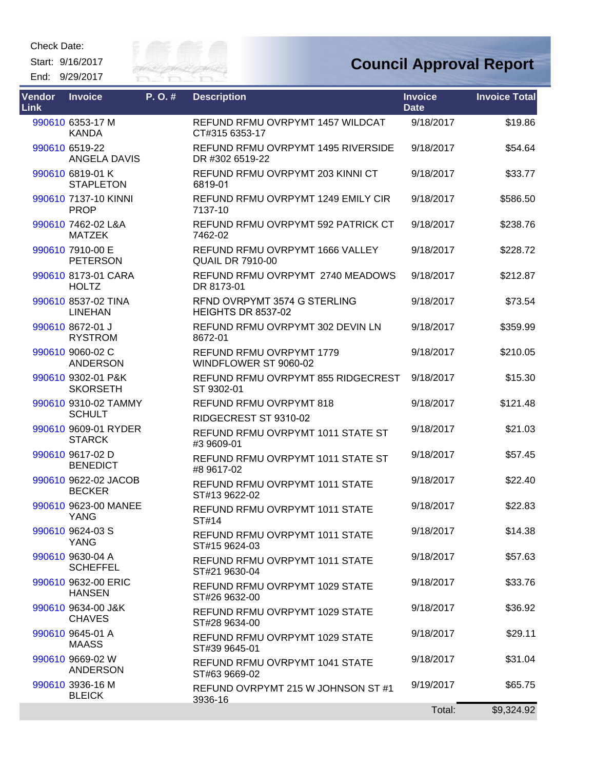Start: 9/16/2017 End: 9/29/2017



| <b>Vendor</b><br><b>Link</b> | <b>Invoice</b>                        | P.O.# | <b>Description</b>                                         | <b>Invoice</b><br><b>Date</b> | <b>Invoice Total</b> |
|------------------------------|---------------------------------------|-------|------------------------------------------------------------|-------------------------------|----------------------|
|                              | 990610 6353-17 M<br><b>KANDA</b>      |       | REFUND RFMU OVRPYMT 1457 WILDCAT<br>CT#315 6353-17         | 9/18/2017                     | \$19.86              |
|                              | 990610 6519-22<br>ANGELA DAVIS        |       | REFUND RFMU OVRPYMT 1495 RIVERSIDE<br>DR #302 6519-22      | 9/18/2017                     | \$54.64              |
|                              | 990610 6819-01 K<br><b>STAPLETON</b>  |       | REFUND RFMU OVRPYMT 203 KINNI CT<br>6819-01                | 9/18/2017                     | \$33.77              |
|                              | 990610 7137-10 KINNI<br><b>PROP</b>   |       | REFUND RFMU OVRPYMT 1249 EMILY CIR<br>7137-10              | 9/18/2017                     | \$586.50             |
|                              | 990610 7462-02 L&A<br><b>MATZEK</b>   |       | REFUND RFMU OVRPYMT 592 PATRICK CT<br>7462-02              | 9/18/2017                     | \$238.76             |
|                              | 990610 7910-00 E<br><b>PETERSON</b>   |       | REFUND RFMU OVRPYMT 1666 VALLEY<br><b>QUAIL DR 7910-00</b> | 9/18/2017                     | \$228.72             |
|                              | 990610 8173-01 CARA<br><b>HOLTZ</b>   |       | REFUND RFMU OVRPYMT 2740 MEADOWS<br>DR 8173-01             | 9/18/2017                     | \$212.87             |
|                              | 990610 8537-02 TINA<br><b>LINEHAN</b> |       | RFND OVRPYMT 3574 G STERLING<br><b>HEIGHTS DR 8537-02</b>  | 9/18/2017                     | \$73.54              |
|                              | 990610 8672-01 J<br><b>RYSTROM</b>    |       | REFUND RFMU OVRPYMT 302 DEVIN LN<br>8672-01                | 9/18/2017                     | \$359.99             |
|                              | 990610 9060-02 C<br><b>ANDERSON</b>   |       | REFUND RFMU OVRPYMT 1779<br>WINDFLOWER ST 9060-02          | 9/18/2017                     | \$210.05             |
|                              | 990610 9302-01 P&K<br><b>SKORSETH</b> |       | REFUND RFMU OVRPYMT 855 RIDGECREST<br>ST 9302-01           | 9/18/2017                     | \$15.30              |
|                              | 990610 9310-02 TAMMY<br><b>SCHULT</b> |       | REFUND RFMU OVRPYMT 818<br>RIDGECREST ST 9310-02           | 9/18/2017                     | \$121.48             |
|                              | 990610 9609-01 RYDER<br><b>STARCK</b> |       | REFUND RFMU OVRPYMT 1011 STATE ST<br>#3 9609-01            | 9/18/2017                     | \$21.03              |
|                              | 990610 9617-02 D<br><b>BENEDICT</b>   |       | REFUND RFMU OVRPYMT 1011 STATE ST<br>#8 9617-02            | 9/18/2017                     | \$57.45              |
|                              | 990610 9622-02 JACOB<br><b>BECKER</b> |       | REFUND RFMU OVRPYMT 1011 STATE<br>ST#13 9622-02            | 9/18/2017                     | \$22.40              |
|                              | 990610 9623-00 MANEE<br><b>YANG</b>   |       | REFUND RFMU OVRPYMT 1011 STATE<br>ST#14                    | 9/18/2017                     | \$22.83              |
|                              | 990610 9624-03 S<br>YANG              |       | REFUND RFMU OVRPYMT 1011 STATE<br>ST#15 9624-03            | 9/18/2017                     | \$14.38              |
|                              | 990610 9630-04 A<br><b>SCHEFFEL</b>   |       | REFUND RFMU OVRPYMT 1011 STATE<br>ST#21 9630-04            | 9/18/2017                     | \$57.63              |
|                              | 990610 9632-00 ERIC<br><b>HANSEN</b>  |       | REFUND RFMU OVRPYMT 1029 STATE<br>ST#26 9632-00            | 9/18/2017                     | \$33.76              |
|                              | 990610 9634-00 J&K<br><b>CHAVES</b>   |       | REFUND RFMU OVRPYMT 1029 STATE<br>ST#28 9634-00            | 9/18/2017                     | \$36.92              |
|                              | 990610 9645-01 A<br><b>MAASS</b>      |       | REFUND RFMU OVRPYMT 1029 STATE<br>ST#39 9645-01            | 9/18/2017                     | \$29.11              |
|                              | 990610 9669-02 W<br><b>ANDERSON</b>   |       | REFUND RFMU OVRPYMT 1041 STATE<br>ST#63 9669-02            | 9/18/2017                     | \$31.04              |
|                              | 990610 3936-16 M<br><b>BLEICK</b>     |       | REFUND OVRPYMT 215 W JOHNSON ST #1<br>3936-16              | 9/19/2017                     | \$65.75              |
|                              |                                       |       |                                                            | Total:                        | \$9,324.92           |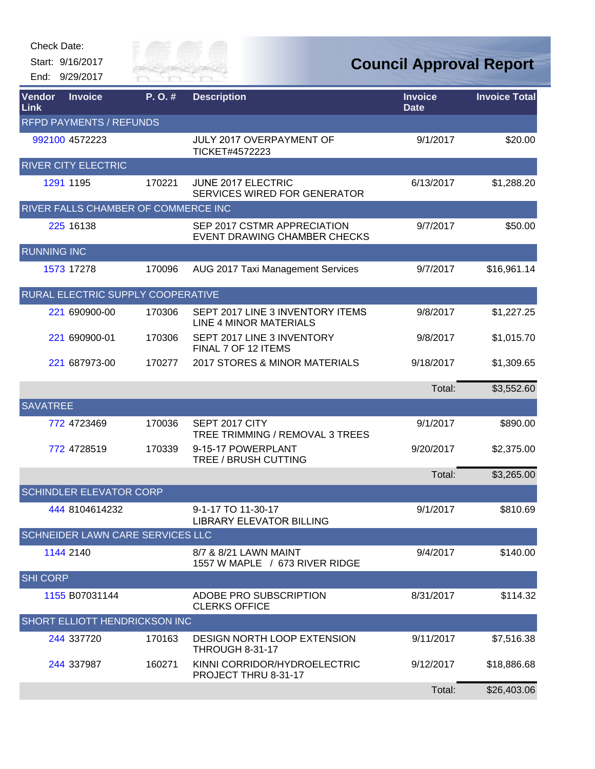Start: 9/16/2017 End: 9/29/2017



| Vendor<br>Link                 | <b>Invoice</b>                       | P.O.#  | <b>Description</b>                                                 | <b>Invoice</b><br><b>Date</b> | <b>Invoice Total</b> |  |
|--------------------------------|--------------------------------------|--------|--------------------------------------------------------------------|-------------------------------|----------------------|--|
| <b>RFPD PAYMENTS / REFUNDS</b> |                                      |        |                                                                    |                               |                      |  |
|                                | 992100 4572223                       |        | JULY 2017 OVERPAYMENT OF<br>TICKET#4572223                         | 9/1/2017                      | \$20.00              |  |
|                                | <b>RIVER CITY ELECTRIC</b>           |        |                                                                    |                               |                      |  |
|                                | 1291 1195                            | 170221 | JUNE 2017 ELECTRIC<br><b>SERVICES WIRED FOR GENERATOR</b>          | 6/13/2017                     | \$1,288.20           |  |
|                                | RIVER FALLS CHAMBER OF COMMERCE INC  |        |                                                                    |                               |                      |  |
|                                | 225 16138                            |        | SEP 2017 CSTMR APPRECIATION<br><b>EVENT DRAWING CHAMBER CHECKS</b> | 9/7/2017                      | \$50.00              |  |
| <b>RUNNING INC</b>             |                                      |        |                                                                    |                               |                      |  |
|                                | 1573 17278                           | 170096 | AUG 2017 Taxi Management Services                                  | 9/7/2017                      | \$16,961.14          |  |
|                                | RURAL ELECTRIC SUPPLY COOPERATIVE    |        |                                                                    |                               |                      |  |
|                                | 221 690900-00                        | 170306 | SEPT 2017 LINE 3 INVENTORY ITEMS<br>LINE 4 MINOR MATERIALS         | 9/8/2017                      | \$1,227.25           |  |
|                                | 221 690900-01                        | 170306 | SEPT 2017 LINE 3 INVENTORY<br>FINAL 7 OF 12 ITEMS                  | 9/8/2017                      | \$1,015.70           |  |
|                                | 221 687973-00                        | 170277 | 2017 STORES & MINOR MATERIALS                                      | 9/18/2017                     | \$1,309.65           |  |
|                                |                                      |        |                                                                    | Total:                        | \$3,552.60           |  |
| <b>SAVATREE</b>                |                                      |        |                                                                    |                               |                      |  |
|                                | 772 4723469                          | 170036 | SEPT 2017 CITY<br>TREE TRIMMING / REMOVAL 3 TREES                  | 9/1/2017                      | \$890.00             |  |
|                                | 772 4728519                          | 170339 | 9-15-17 POWERPLANT<br>TREE / BRUSH CUTTING                         | 9/20/2017                     | \$2,375.00           |  |
|                                |                                      |        |                                                                    | Total:                        | \$3,265.00           |  |
|                                | <b>SCHINDLER ELEVATOR CORP</b>       |        |                                                                    |                               |                      |  |
|                                | 444 8104614232                       |        | 9-1-17 TO 11-30-17<br>LIBRARY FLEVATOR BILLING                     | 9/1/2017                      | \$810.69             |  |
|                                | SCHNEIDER LAWN CARE SERVICES LLC     |        |                                                                    |                               |                      |  |
|                                | 1144 2140                            |        | 8/7 & 8/21 LAWN MAINT<br>1557 W MAPLE / 673 RIVER RIDGE            | 9/4/2017                      | \$140.00             |  |
| <b>SHI CORP</b>                |                                      |        |                                                                    |                               |                      |  |
|                                | 1155 B07031144                       |        | ADOBE PRO SUBSCRIPTION<br><b>CLERKS OFFICE</b>                     | 8/31/2017                     | \$114.32             |  |
|                                | <b>SHORT ELLIOTT HENDRICKSON INC</b> |        |                                                                    |                               |                      |  |
|                                | 244 337720                           | 170163 | <b>DESIGN NORTH LOOP EXTENSION</b><br><b>THROUGH 8-31-17</b>       | 9/11/2017                     | \$7,516.38           |  |
|                                | 244 337987                           | 160271 | KINNI CORRIDOR/HYDROELECTRIC<br>PROJECT THRU 8-31-17               | 9/12/2017                     | \$18,886.68          |  |
|                                |                                      |        |                                                                    | Total:                        | \$26,403.06          |  |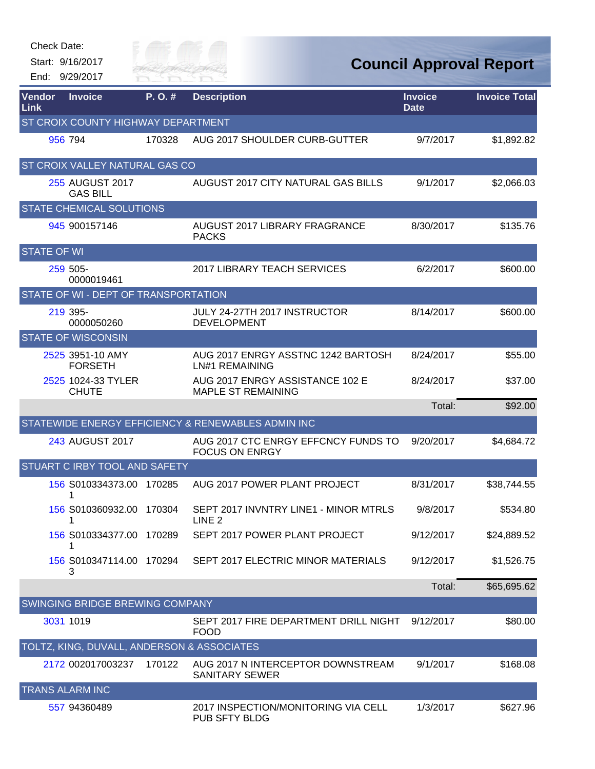| Check Date:        |                                            |                      |                                                              |                               |                                |
|--------------------|--------------------------------------------|----------------------|--------------------------------------------------------------|-------------------------------|--------------------------------|
|                    | Start: 9/16/2017<br>End: 9/29/2017         | City of<br>RIVER FAI |                                                              |                               | <b>Council Approval Report</b> |
| Vendor<br>Link     | <b>Invoice</b>                             | P.O.#                | <b>Description</b>                                           | <b>Invoice</b><br><b>Date</b> | <b>Invoice Total</b>           |
|                    | ST CROIX COUNTY HIGHWAY DEPARTMENT         |                      |                                                              |                               |                                |
|                    | 956 794                                    | 170328               | AUG 2017 SHOULDER CURB-GUTTER                                | 9/7/2017                      | \$1,892.82                     |
|                    | ST CROIX VALLEY NATURAL GAS CO             |                      |                                                              |                               |                                |
|                    | 255 AUGUST 2017<br><b>GAS BILL</b>         |                      | AUGUST 2017 CITY NATURAL GAS BILLS                           | 9/1/2017                      | \$2,066.03                     |
|                    | <b>STATE CHEMICAL SOLUTIONS</b>            |                      |                                                              |                               |                                |
|                    | 945 900157146                              |                      | AUGUST 2017 LIBRARY FRAGRANCE<br><b>PACKS</b>                | 8/30/2017                     | \$135.76                       |
| <b>STATE OF WI</b> |                                            |                      |                                                              |                               |                                |
|                    | 259 505-<br>0000019461                     |                      | 2017 LIBRARY TEACH SERVICES                                  | 6/2/2017                      | \$600.00                       |
|                    | STATE OF WI - DEPT OF TRANSPORTATION       |                      |                                                              |                               |                                |
|                    | 219 395-<br>0000050260                     |                      | JULY 24-27TH 2017 INSTRUCTOR<br><b>DEVELOPMENT</b>           | 8/14/2017                     | \$600.00                       |
|                    | <b>STATE OF WISCONSIN</b>                  |                      |                                                              |                               |                                |
|                    | 2525 3951-10 AMY<br><b>FORSETH</b>         |                      | AUG 2017 ENRGY ASSTNC 1242 BARTOSH<br><b>LN#1 REMAINING</b>  | 8/24/2017                     | \$55.00                        |
|                    | 2525 1024-33 TYLER<br><b>CHUTE</b>         |                      | AUG 2017 ENRGY ASSISTANCE 102 E<br><b>MAPLE ST REMAINING</b> | 8/24/2017                     | \$37.00                        |
|                    |                                            |                      |                                                              | Total:                        | \$92.00                        |
|                    |                                            |                      | STATEWIDE ENERGY EFFICIENCY & RENEWABLES ADMIN INC           |                               |                                |
|                    | 243 AUGUST 2017                            |                      | AUG 2017 CTC ENRGY EFFCNCY FUNDS TO<br><b>FOCUS ON ENRGY</b> | 9/20/2017                     | \$4,684.72                     |
|                    | STUART C IRBY TOOL AND SAFETY              |                      |                                                              |                               |                                |
|                    | 156 S010334373.00 170285                   |                      | AUG 2017 POWER PLANT PROJECT                                 | 8/31/2017                     | \$38,744.55                    |
|                    | 156 S010360932.00 170304<br>1              |                      | SEPT 2017 INVNTRY LINE1 - MINOR MTRLS<br>LINE <sub>2</sub>   | 9/8/2017                      | \$534.80                       |
|                    | 156 S010334377.00 170289<br>1              |                      | SEPT 2017 POWER PLANT PROJECT                                | 9/12/2017                     | \$24,889.52                    |
|                    | 156 S010347114.00 170294<br>3              |                      | SEPT 2017 ELECTRIC MINOR MATERIALS                           | 9/12/2017                     | \$1,526.75                     |
|                    |                                            |                      |                                                              | Total:                        | \$65,695.62                    |
|                    | SWINGING BRIDGE BREWING COMPANY            |                      |                                                              |                               |                                |
|                    | 3031 1019                                  |                      | SEPT 2017 FIRE DEPARTMENT DRILL NIGHT<br><b>FOOD</b>         | 9/12/2017                     | \$80.00                        |
|                    | TOLTZ, KING, DUVALL, ANDERSON & ASSOCIATES |                      |                                                              |                               |                                |
|                    | 2172 002017003237                          | 170122               | AUG 2017 N INTERCEPTOR DOWNSTREAM<br><b>SANITARY SEWER</b>   | 9/1/2017                      | \$168.08                       |
|                    | TRANS ALARM INC                            |                      |                                                              |                               |                                |
|                    | 557 94360489                               |                      | 2017 INSPECTION/MONITORING VIA CELL<br>PUB SFTY BLDG         | 1/3/2017                      | \$627.96                       |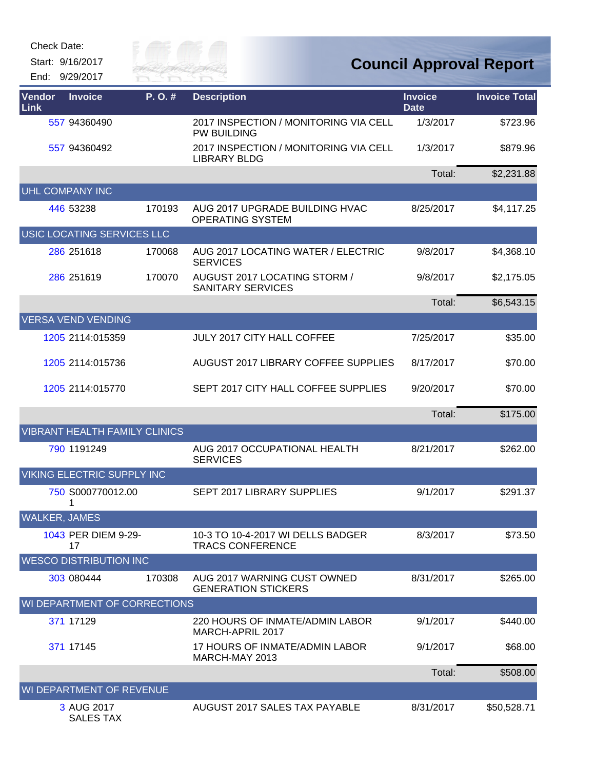| Check Date: |  |
|-------------|--|
|-------------|--|

Start: 9/16/2017 End: 9/29/2017



| <b>Vendor</b><br><b>Link</b> | <b>Invoice</b>                       | P. O. # | <b>Description</b>                                           | <b>Invoice</b><br><b>Date</b> | <b>Invoice Total</b> |
|------------------------------|--------------------------------------|---------|--------------------------------------------------------------|-------------------------------|----------------------|
|                              | 557 94360490                         |         | 2017 INSPECTION / MONITORING VIA CELL<br><b>PW BUILDING</b>  | 1/3/2017                      | \$723.96             |
|                              | 557 94360492                         |         | 2017 INSPECTION / MONITORING VIA CELL<br><b>LIBRARY BLDG</b> | 1/3/2017                      | \$879.96             |
|                              |                                      |         |                                                              | Total:                        | \$2,231.88           |
|                              | UHL COMPANY INC                      |         |                                                              |                               |                      |
|                              | 446 53238                            | 170193  | AUG 2017 UPGRADE BUILDING HVAC<br><b>OPERATING SYSTEM</b>    | 8/25/2017                     | \$4,117.25           |
|                              | USIC LOCATING SERVICES LLC           |         |                                                              |                               |                      |
|                              | 286 251618                           | 170068  | AUG 2017 LOCATING WATER / ELECTRIC<br><b>SERVICES</b>        | 9/8/2017                      | \$4,368.10           |
|                              | 286 251619                           | 170070  | AUGUST 2017 LOCATING STORM /<br><b>SANITARY SERVICES</b>     | 9/8/2017                      | \$2,175.05           |
|                              |                                      |         |                                                              | Total:                        | \$6,543.15           |
|                              | <b>VERSA VEND VENDING</b>            |         |                                                              |                               |                      |
|                              | 1205 2114:015359                     |         | <b>JULY 2017 CITY HALL COFFEE</b>                            | 7/25/2017                     | \$35.00              |
|                              | 1205 2114:015736                     |         | AUGUST 2017 LIBRARY COFFEE SUPPLIES                          | 8/17/2017                     | \$70.00              |
|                              | 1205 2114:015770                     |         | SEPT 2017 CITY HALL COFFEE SUPPLIES                          | 9/20/2017                     | \$70.00              |
|                              |                                      |         |                                                              | Total:                        | \$175.00             |
|                              | <b>VIBRANT HEALTH FAMILY CLINICS</b> |         |                                                              |                               |                      |
|                              | 790 1191249                          |         | AUG 2017 OCCUPATIONAL HEALTH<br><b>SERVICES</b>              | 8/21/2017                     | \$262.00             |
|                              | <b>VIKING ELECTRIC SUPPLY INC</b>    |         |                                                              |                               |                      |
|                              | 750 S000770012.00                    |         | SEPT 2017 LIBRARY SUPPLIES                                   | 9/1/2017                      | \$291.37             |
| <b>WALKER, JAMES</b>         |                                      |         |                                                              |                               |                      |
|                              | 1043 PER DIEM 9-29-<br>17            |         | 10-3 TO 10-4-2017 WI DELLS BADGER<br><b>TRACS CONFERENCE</b> | 8/3/2017                      | \$73.50              |
|                              | <b>WESCO DISTRIBUTION INC</b>        |         |                                                              |                               |                      |
|                              | 303 080444                           | 170308  | AUG 2017 WARNING CUST OWNED<br><b>GENERATION STICKERS</b>    | 8/31/2017                     | \$265.00             |
|                              | WI DEPARTMENT OF CORRECTIONS         |         |                                                              |                               |                      |
|                              | 371 17129                            |         | 220 HOURS OF INMATE/ADMIN LABOR<br>MARCH-APRIL 2017          | 9/1/2017                      | \$440.00             |
|                              | 371 17145                            |         | 17 HOURS OF INMATE/ADMIN LABOR<br>MARCH-MAY 2013             | 9/1/2017                      | \$68.00              |
|                              |                                      |         |                                                              | Total:                        | \$508.00             |
| WI DEPARTMENT OF REVENUE     |                                      |         |                                                              |                               |                      |
|                              | 3 AUG 2017<br><b>SALES TAX</b>       |         | AUGUST 2017 SALES TAX PAYABLE                                | 8/31/2017                     | \$50,528.71          |